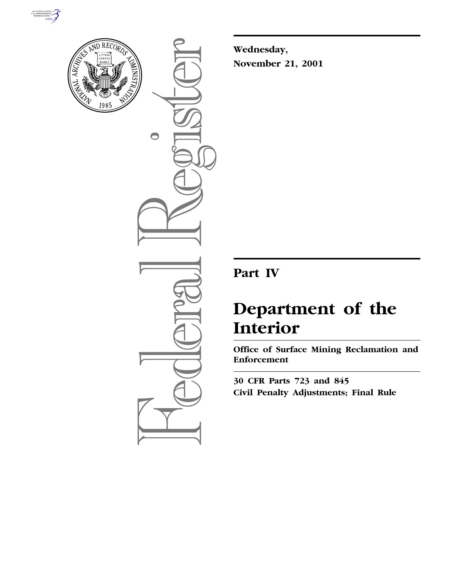



 $\bigcirc$ 

**Wednesday, November 21, 2001**

# **Part IV**

# **Department of the Interior**

**Office of Surface Mining Reclamation and Enforcement**

**30 CFR Parts 723 and 845 Civil Penalty Adjustments; Final Rule**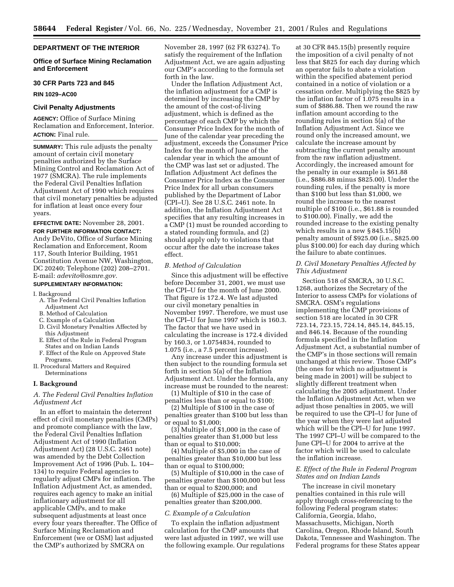# **DEPARTMENT OF THE INTERIOR**

# **Office of Surface Mining Reclamation and Enforcement**

#### **30 CFR Parts 723 and 845**

**RIN 1029–AC00**

#### **Civil Penalty Adjustments**

**AGENCY:** Office of Surface Mining Reclamation and Enforcement, Interior. **ACTION:** Final rule.

**SUMMARY:** This rule adjusts the penalty amount of certain civil monetary penalties authorized by the Surface Mining Control and Reclamation Act of 1977 (SMCRA). The rule implements the Federal Civil Penalties Inflation Adjustment Act of 1990 which requires that civil monetary penalties be adjusted for inflation at least once every four years.

# **EFFECTIVE DATE:** November 28, 2001.

**FOR FURTHER INFORMATION CONTACT:** Andy DeVito, Office of Surface Mining Reclamation and Enforcement, Room 117, South Interior Building, 1951 Constitution Avenue NW, Washington, DC 20240; Telephone (202) 208–2701. E-mail: *adevito@osmre.gov.*

# **SUPPLEMENTARY INFORMATION:**

I. Background

- A. The Federal Civil Penalties Inflation Adjustment Act
- B. Method of Calculation
- C. Example of a Calculation
- D. Civil Monetary Penalties Affected by this Adjustment
- E. Effect of the Rule in Federal Program States and on Indian Lands
- F. Effect of the Rule on Approved State Programs.
- II. Procedural Matters and Required Determinations

#### **I. Background**

# *A. The Federal Civil Penalties Inflation Adjustment Act*

In an effort to maintain the deterrent effect of civil monetary penalties (CMPs) and promote compliance with the law, the Federal Civil Penalties Inflation Adjustment Act of 1990 (Inflation Adjustment Act) (28 U.S.C. 2461 note) was amended by the Debt Collection Improvement Act of 1996 (Pub. L. 104– 134) to require Federal agencies to regularly adjust CMPs for inflation. The Inflation Adjustment Act, as amended, requires each agency to make an initial inflationary adjustment for all applicable CMPs, and to make subsequent adjustments at least once every four years thereafter. The Office of Surface Mining Reclamation and Enforcement (we or OSM) last adjusted the CMP's authorized by SMCRA on

November 28, 1997 (62 FR 63274). To satisfy the requirement of the Inflation Adjustment Act, we are again adjusting our CMP's according to the formula set forth in the law.

Under the Inflation Adjustment Act, the inflation adjustment for a CMP is determined by increasing the CMP by the amount of the cost-of-living adjustment, which is defined as the percentage of each CMP by which the Consumer Price Index for the month of June of the calendar year preceding the adjustment, exceeds the Consumer Price Index for the month of June of the calendar year in which the amount of the CMP was last set or adjusted. The Inflation Adjustment Act defines the Consumer Price Index as the Consumer Price Index for all urban consumers published by the Department of Labor (CPI–U). See 28 U.S.C. 2461 note. In addition, the Inflation Adjustment Act specifies that any resulting increases in a CMP (1) must be rounded according to a stated rounding formula, and (2) should apply only to violations that occur after the date the increase takes effect.

#### *B. Method of Calculation*

Since this adjustment will be effective before December 31, 2001, we must use the CPI–U for the month of June 2000. That figure is 172.4. We last adjusted our civil monetary penalties in November 1997. Therefore, we must use the CPI–U for June 1997 which is 160.3. The factor that we have used in calculating the increase is 172.4 divided by 160.3, or 1.0754834, rounded to 1.075 (i.e., a 7.5 percent increase).

Any increase under this adjustment is then subject to the rounding formula set forth in section 5(a) of the Inflation Adjustment Act. Under the formula, any increase must be rounded to the nearest:

(1) Multiple of \$10 in the case of penalties less than or equal to \$100;

(2) Multiple of \$100 in the case of penalties greater than \$100 but less than or equal to \$1,000;

(3) Multiple of \$1,000 in the case of penalties greater than \$1,000 but less than or equal to \$10,000;

(4) Multiple of \$5,000 in the case of penalties greater than \$10,000 but less than or equal to \$100,000;

(5) Multiple of \$10,000 in the case of penalties greater than \$100,000 but less than or equal to \$200,000; and

(6) Multiple of \$25,000 in the case of penalties greater than \$200,000.

#### *C. Example of a Calculation*

To explain the inflation adjustment calculation for the CMP amounts that were last adjusted in 1997, we will use the following example. Our regulations

at 30 CFR 845.15(b) presently require the imposition of a civil penalty of not less that \$825 for each day during which an operator fails to abate a violation within the specified abatement period contained in a notice of violation or a cessation order. Multiplying the \$825 by the inflation factor of 1.075 results in a sum of \$886.88. Then we round the raw inflation amount according to the rounding rules in section 5(a) of the Inflation Adjustment Act. Since we round only the increased amount, we calculate the increase amount by subtracting the current penalty amount from the raw inflation adjustment. Accordingly, the increased amount for the penalty in our example is \$61.88 (i.e., \$886.88 minus \$825.00). Under the rounding rules, if the penalty is more than \$100 but less than \$1,000, we round the increase to the nearest multiple of \$100 (i.e., \$61.88 is rounded to \$100.00). Finally, we add the rounded increase to the existing penalty which results in a new § 845.15(b) penalty amount of \$925.00 (i.e., \$825.00 plus \$100.00) for each day during which the failure to abate continues.

# *D. Civil Monetary Penalties Affected by This Adjustment*

Section 518 of SMCRA, 30 U.S.C. 1268, authorizes the Secretary of the Interior to assess CMPs for violations of SMCRA. OSM's regulations implementing the CMP provisions of section 518 are located in 30 CFR 723.14, 723.15, 724.14, 845.14, 845.15, and 846.14. Because of the rounding formula specified in the Inflation Adjustment Act, a substantial number of the CMP's in those sections will remain unchanged at this review. Those CMP's (the ones for which no adjustment is being made in 2001) will be subject to slightly different treatment when calculating the 2005 adjustment. Under the Inflation Adjustment Act, when we adjust those penalties in 2005, we will be required to use the CPI–U for June of the year when they were last adjusted which will be the CPI–U for June 1997. The 1997 CPI–U will be compared to the June CPI–U for 2004 to arrive at the factor which will be used to calculate the inflation increase.

#### *E. Effect of the Rule in Federal Program States and on Indian Lands*

The increase in civil monetary penalties contained in this rule will apply through cross-referencing to the following Federal program states: California, Georgia, Idaho, Massachusetts, Michigan, North Carolina, Oregon, Rhode Island, South Dakota, Tennessee and Washington. The Federal programs for these States appear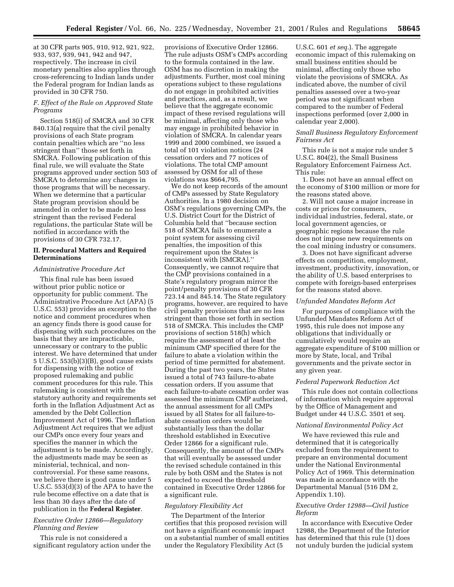at 30 CFR parts 905, 910, 912, 921, 922, 933, 937, 939, 941, 942 and 947, respectively. The increase in civil monetary penalties also applies through cross-referencing to Indian lands under the Federal program for Indian lands as provided in 30 CFR 750.

# *F. Effect of the Rule on Approved State Programs*

Section 518(i) of SMCRA and 30 CFR 840.13(a) require that the civil penalty provisions of each State program contain penalties which are ''no less stringent than'' those set forth in SMCRA. Following publication of this final rule, we will evaluate the State programs approved under section 503 of SMCRA to determine any changes in those programs that will be necessary. When we determine that a particular State program provision should be amended in order to be made no less stringent than the revised Federal regulations, the particular State will be notified in accordance with the provisions of 30 CFR 732.17.

#### **II. Procedural Matters and Required Determinations**

#### *Administrative Procedure Act*

This final rule has been issued without prior public notice or opportunity for public comment. The Administrative Procedure Act (APA) (5 U.S.C. 553) provides an exception to the notice and comment procedures when an agency finds there is good cause for dispensing with such procedures on the basis that they are impracticable, unnecessary or contrary to the public interest. We have determined that under 5 U.S.C. 553(b)(3)(B), good cause exists for dispensing with the notice of proposed rulemaking and public comment procedures for this rule. This rulemaking is consistent with the statutory authority and requirements set forth in the Inflation Adjustment Act as amended by the Debt Collection Improvement Act of 1996. The Inflation Adjustment Act requires that we adjust our CMPs once every four years and specifies the manner in which the adjustment is to be made. Accordingly, the adjustments made may be seen as ministerial, technical, and noncontroversial. For these same reasons, we believe there is good cause under 5 U.S.C. 553(d)(3) of the APA to have the rule become effective on a date that is less than 30 days after the date of publication in the **Federal Register**.

# *Executive Order 12866—Regulatory Planning and Review*

This rule is not considered a significant regulatory action under the

provisions of Executive Order 12866. The rule adjusts OSM's CMPs according to the formula contained in the law. OSM has no discretion in making the adjustments. Further, most coal mining operations subject to these regulations do not engage in prohibited activities and practices, and, as a result, we believe that the aggregate economic impact of these revised regulations will be minimal, affecting only those who may engage in prohibited behavior in violation of SMCRA. In calendar years 1999 and 2000 combined, we issued a total of 101 violation notices (24 cessation orders and 77 notices of violations. The total CMP amount assessed by OSM for all of these violations was \$664,795.

We do not keep records of the amount of CMPs assessed by State Regulatory Authorities. In a 1980 decision on OSM's regulations governing CMPs, the U.S. District Court for the District of Columbia held that ''because section 518 of SMCRA fails to enumerate a point system for assessing civil penalties, the imposition of this requirement upon the States is inconsistent with [SMCRA].'' Consequently, we cannot require that the CMP provisions contained in a State's regulatory program mirror the point/penalty provisions of 30 CFR 723.14 and 845.14. The State regulatory programs, however, are required to have civil penalty provisions that are no less stringent than those set forth in section 518 of SMCRA. This includes the CMP provisions of section 518(h) which require the assessment of at least the minimum CMP specified there for the failure to abate a violation within the period of time permitted for abatement. During the past two years, the States issued a total of 743 failure-to-abate cessation orders. If you assume that each failure-to-abate cessation order was assessed the minimum CMP authorized, the annual assessment for all CMPs issued by all States for all failure-toabate cessation orders would be substantially less than the dollar threshold established in Executive Order 12866 for a significant rule. Consequently, the amount of the CMPs that will eventually be assessed under the revised schedule contained in this rule by both OSM and the States is not expected to exceed the threshold contained in Executive Order 12866 for a significant rule.

#### *Regulatory Flexibility Act*

The Department of the Interior certifies that this proposed revision will not have a significant economic impact on a substantial number of small entities under the Regulatory Flexibility Act (5

U.S.C. 601 *et seq.*). The aggregate economic impact of this rulemaking on small business entities should be minimal, affecting only those who violate the provisions of SMCRA. As indicated above, the number of civil penalties assessed over a two-year period was not significant when compared to the number of Federal inspections performed (over 2,000 in calendar year 2,000).

#### *Small Business Regulatory Enforcement Fairness Act*

This rule is not a major rule under 5 U.S.C. 804(2), the Small Business Regulatory Enforcement Fairness Act. This rule:

1. Does not have an annual effect on the economy of \$100 million or more for the reasons stated above.

2. Will not cause a major increase in costs or prices for consumers, individual industries, federal, state, or local government agencies, or geographic regions because the rule does not impose new requirements on the coal mining industry or consumers.

3. Does not have significant adverse effects on competition, employment, investment, productivity, innovation, or the ability of U.S. based enterprises to compete with foreign-based enterprises for the reasons stated above.

#### *Unfunded Mandates Reform Act*

For purposes of compliance with the Unfunded Mandates Reform Act of 1995, this rule does not impose any obligations that individually or cumulatively would require an aggregate expenditure of \$100 million or more by State, local, and Tribal governments and the private sector in any given year.

#### *Federal Paperwork Reduction Act*

This rule does not contain collections of information which require approval by the Office of Management and Budget under 44 U.S.C. 3501 et seq.

#### *National Environmental Policy Act*

We have reviewed this rule and determined that it is categorically excluded from the requirement to prepare an environmental document under the National Environmental Policy Act of 1969. This determination was made in accordance with the Departmental Manual (516 DM 2, Appendix 1.10).

# *Executive Order 12988—Civil Justice Reform*

In accordance with Executive Order 12988, the Department of the Interior has determined that this rule (1) does not unduly burden the judicial system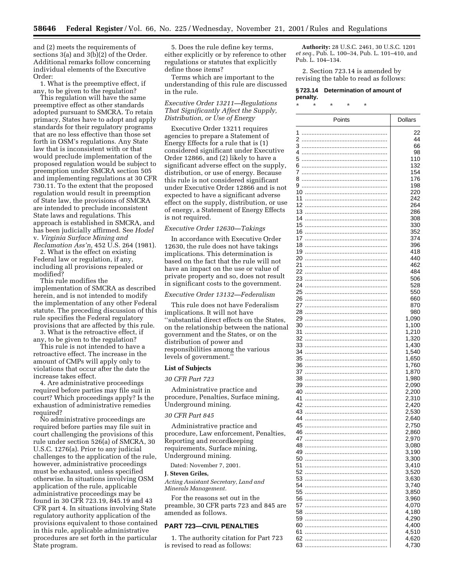and (2) meets the requirements of sections 3(a) and 3(b)(2) of the Order. Additional remarks follow concerning individual elements of the Executive Order:

1. What is the preemptive effect, if any, to be given to the regulation?

This regulation will have the same preemptive effect as other standards adopted pursuant to SMCRA. To retain primacy, States have to adopt and apply standards for their regulatory programs that are no less effective than those set forth in OSM's regulations. Any State law that is inconsistent with or that would preclude implementation of the proposed regulation would be subject to preemption under SMCRA section 505 and implementing regulations at 30 CFR 730.11. To the extent that the proposed regulation would result in preemption of State law, the provisions of SMCRA are intended to preclude inconsistent State laws and regulations. This approach is established in SMCRA, and has been judicially affirmed. See *Hodel* v. *Virginia Surface Mining and Reclamation Ass'n,* 452 U.S. 264 (1981).

2. What is the effect on existing Federal law or regulation, if any, including all provisions repealed or modified?

This rule modifies the implementation of SMCRA as described herein, and is not intended to modify the implementation of any other Federal statute. The preceding discussion of this rule specifies the Federal regulatory provisions that are affected by this rule.

3. What is the retroactive effect, if any, to be given to the regulation?

This rule is not intended to have a retroactive effect. The increase in the amount of CMPs will apply only to violations that occur after the date the increase takes effect.

4. Are administrative proceedings required before parties may file suit in court? Which proceedings apply? Is the exhaustion of administrative remedies required?

No administrative proceedings are required before parties may file suit in court challenging the provisions of this rule under section 526(a) of SMCRA, 30 U.S.C. 1276(a). Prior to any judicial challenges to the application of the rule, however, administrative proceedings must be exhausted, unless specified otherwise. In situations involving OSM application of the rule, applicable administrative proceedings may be found in 30 CFR 723.19, 845.19 and 43 CFR part 4. In situations involving State regulatory authority application of the provisions equivalent to those contained in this rule, applicable administrative procedures are set forth in the particular State program.

5. Does the rule define key terms, either explicitly or by reference to other regulations or statutes that explicitly define those items?

Terms which are important to the understanding of this rule are discussed in the rule.

*Executive Order 13211—Regulations That Significantly Affect the Supply, Distribution, or Use of Energy*

Executive Order 13211 requires agencies to prepare a Statement of Energy Effects for a rule that is (1) considered significant under Executive Order 12866, and (2) likely to have a significant adverse effect on the supply, distribution, or use of energy. Because this rule is not considered significant under Executive Order 12866 and is not expected to have a significant adverse effect on the supply, distribution, or use of energy, a Statement of Energy Effects is not required.

#### *Executive Order 12630—Takings*

In accordance with Executive Order 12630, the rule does not have takings implications. This determination is based on the fact that the rule will not have an impact on the use or value of private property and so, does not result in significant costs to the government.

#### *Executive Order 13132—Federalism*

This rule does not have Federalism implications. It will not have ''substantial direct effects on the States, on the relationship between the national government and the States, or on the distribution of power and responsibilities among the various levels of government.''

#### **List of Subjects**

### *30 CFR Part 723*

Administrative practice and procedure, Penalties, Surface mining, Underground mining.

#### *30 CFR Part 845*

Administrative practice and procedure, Law enforcement, Penalties, Reporting and recordkeeping requirements, Surface mining, Underground mining.

Dated: November 7, 2001.

# **J. Steven Griles,**

*Acting Assistant Secretary, Land and Minerals Management.*

For the reasons set out in the preamble, 30 CFR parts 723 and 845 are amended as follows.

### **PART 723—CIVIL PENALTIES**

1. The authority citation for Part 723 is revised to read as follows:

**Authority:** 28 U.S.C. 2461, 30 U.S.C. 1201 *et seq.*, Pub. L. 100–34, Pub. L. 101–410, and Pub. L. 104–134.

2. Section 723.14 is amended by revising the table to read as follows:

# **§ 723.14 Determination of amount of penalty.**

\* \* \* \* \*

| Points        | <b>Dollars</b> |
|---------------|----------------|
| 1             | 22             |
| 2             | 44             |
|               | 66             |
| 4             | 98             |
| 5             | 110<br>132     |
| 6<br>7        | 154            |
| 8             | 176            |
| 9             | 198            |
|               | 220            |
| 11            | 242            |
|               | 264            |
|               | 286            |
| 15            | 308<br>330     |
| 16            | 352            |
| 17            | 374            |
|               | 396            |
|               | 418            |
|               | 440            |
| 21<br>22      | 462<br>484     |
|               | 506            |
| 24            | 528            |
| 25            | 550            |
| 26            | 660            |
| 27            | 870            |
| 28            | 980<br>1,090   |
| 30            | 1,100          |
| 31            | 1,210          |
| 32            | 1,320          |
| 33            | 1,430          |
| 34            | 1,540<br>1,650 |
| 35<br>36      | 1,760          |
| 37            | 1,870          |
| 38            | 1,980          |
| 39            | 2,090          |
| 40            | 2,200          |
| 41<br>42      | 2,310<br>2,420 |
| 43            | 2,530          |
| 44            | 2,640          |
| 45            | 2,750          |
| 46            | 2,860          |
| 47            | 2,970          |
| 48<br>49<br>. | 3,080<br>3,190 |
| 50            | 3,300          |
| 51            | 3,410          |
| 52            | 3,520          |
| 53            | 3,630          |
| 54<br>55      | 3,740<br>3,850 |
| 56            | 3,960          |
| 57            | 4,070          |
| 58            | 4,180          |
| 59            | 4,290          |
| 60            | 4,400          |
| 61            | 4,510<br>4,620 |
| 62<br>63      | 4,730          |
|               |                |